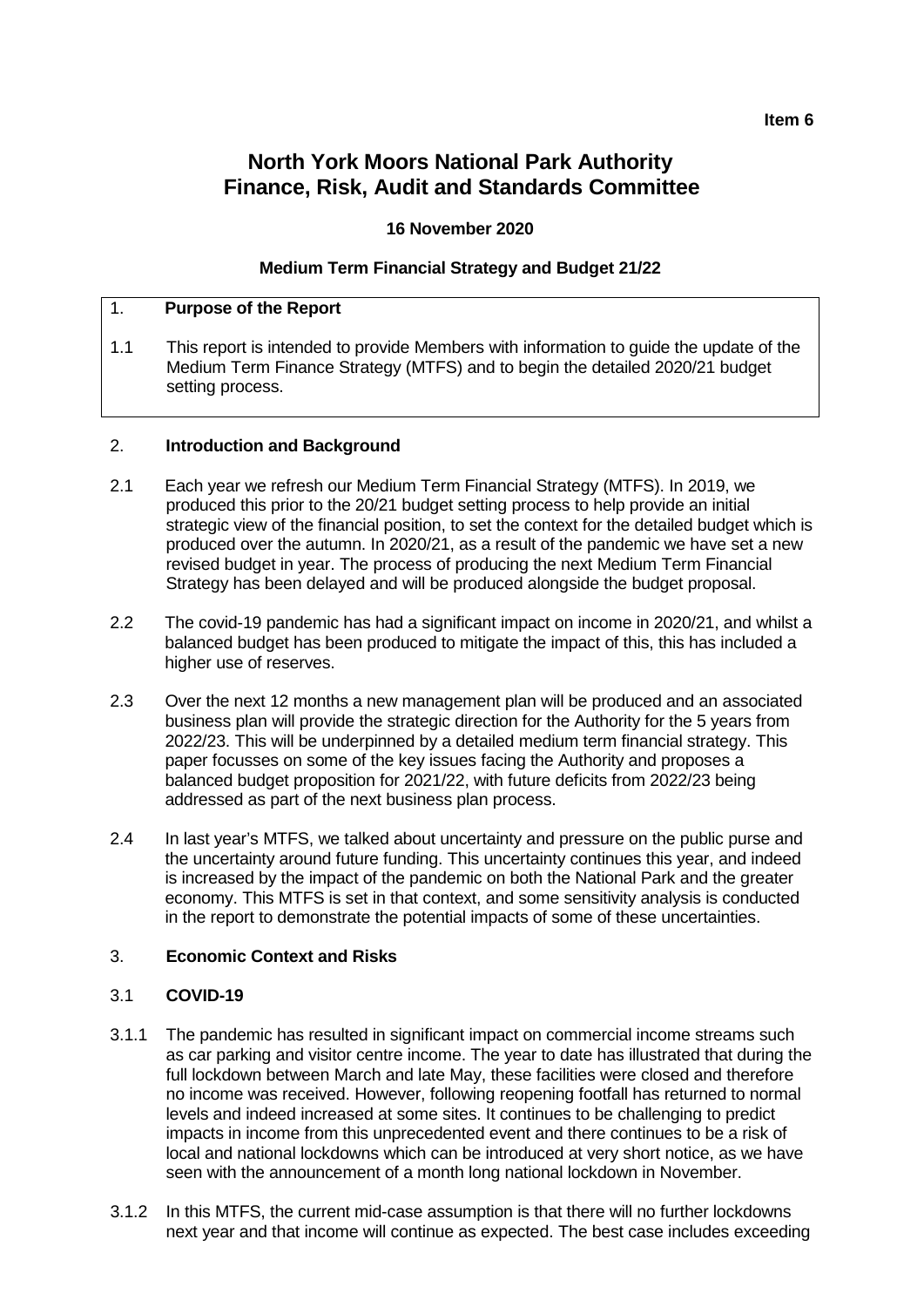#### **Item 6**

# **North York Moors National Park Authority Finance, Risk, Audit and Standards Committee**

## **16 November 2020**

## **Medium Term Financial Strategy and Budget 21/22**

## 1. **Purpose of the Report**

1.1 This report is intended to provide Members with information to guide the update of the Medium Term Finance Strategy (MTFS) and to begin the detailed 2020/21 budget setting process.

#### 2. **Introduction and Background**

- 2.1 Each year we refresh our Medium Term Financial Strategy (MTFS). In 2019, we produced this prior to the 20/21 budget setting process to help provide an initial strategic view of the financial position, to set the context for the detailed budget which is produced over the autumn. In 2020/21, as a result of the pandemic we have set a new revised budget in year. The process of producing the next Medium Term Financial Strategy has been delayed and will be produced alongside the budget proposal.
- 2.2 The covid-19 pandemic has had a significant impact on income in 2020/21, and whilst a balanced budget has been produced to mitigate the impact of this, this has included a higher use of reserves.
- 2.3 Over the next 12 months a new management plan will be produced and an associated business plan will provide the strategic direction for the Authority for the 5 years from 2022/23. This will be underpinned by a detailed medium term financial strategy. This paper focusses on some of the key issues facing the Authority and proposes a balanced budget proposition for 2021/22, with future deficits from 2022/23 being addressed as part of the next business plan process.
- 2.4 In last year's MTFS, we talked about uncertainty and pressure on the public purse and the uncertainty around future funding. This uncertainty continues this year, and indeed is increased by the impact of the pandemic on both the National Park and the greater economy. This MTFS is set in that context, and some sensitivity analysis is conducted in the report to demonstrate the potential impacts of some of these uncertainties.

## 3. **Economic Context and Risks**

## 3.1 **COVID-19**

- 3.1.1 The pandemic has resulted in significant impact on commercial income streams such as car parking and visitor centre income. The year to date has illustrated that during the full lockdown between March and late May, these facilities were closed and therefore no income was received. However, following reopening footfall has returned to normal levels and indeed increased at some sites. It continues to be challenging to predict impacts in income from this unprecedented event and there continues to be a risk of local and national lockdowns which can be introduced at very short notice, as we have seen with the announcement of a month long national lockdown in November.
- 3.1.2 In this MTFS, the current mid-case assumption is that there will no further lockdowns next year and that income will continue as expected. The best case includes exceeding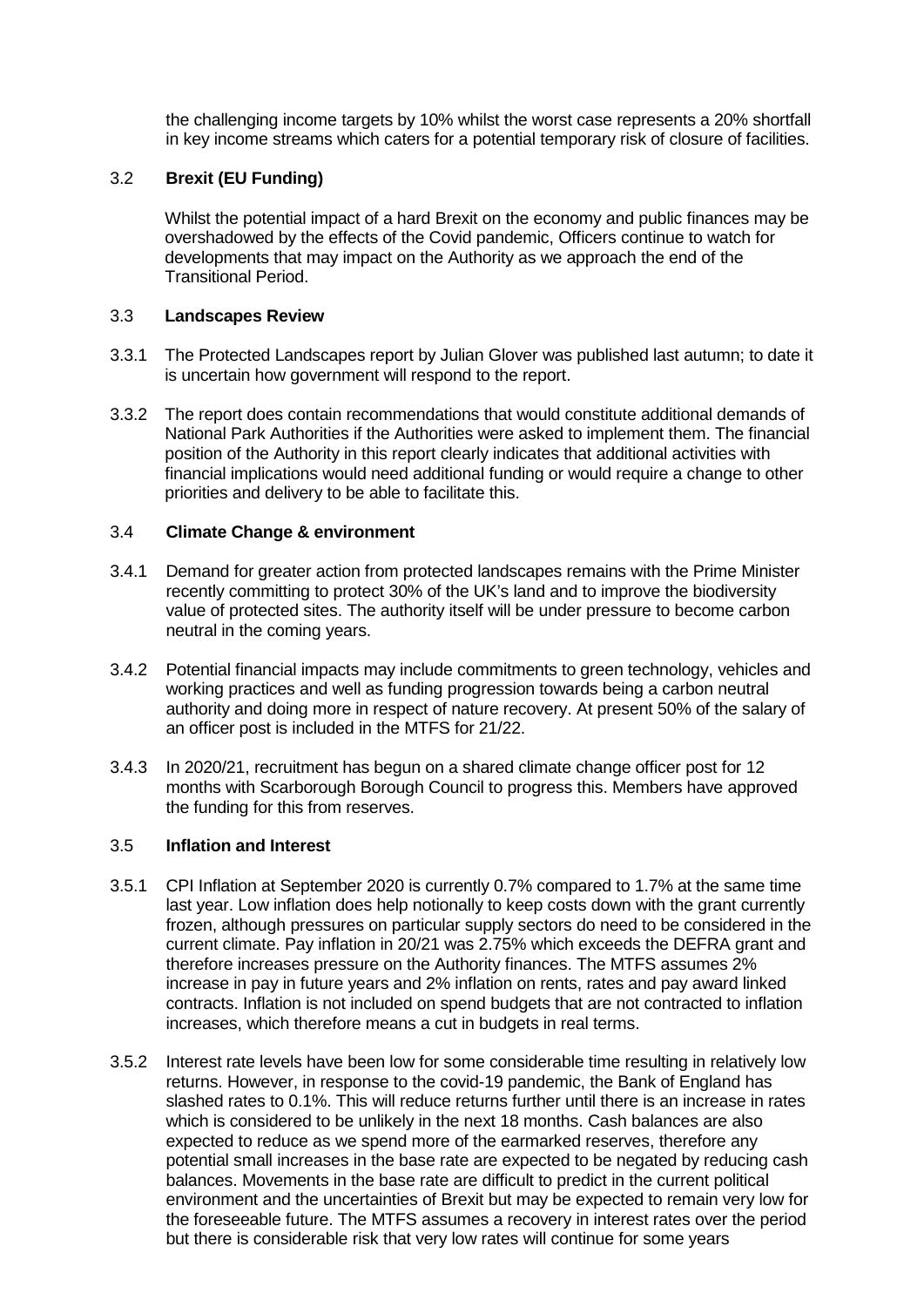the challenging income targets by 10% whilst the worst case represents a 20% shortfall in key income streams which caters for a potential temporary risk of closure of facilities.

## 3.2 **Brexit (EU Funding)**

Whilst the potential impact of a hard Brexit on the economy and public finances may be overshadowed by the effects of the Covid pandemic, Officers continue to watch for developments that may impact on the Authority as we approach the end of the Transitional Period.

#### 3.3 **Landscapes Review**

- 3.3.1 The Protected Landscapes report by Julian Glover was published last autumn; to date it is uncertain how government will respond to the report.
- 3.3.2 The report does contain recommendations that would constitute additional demands of National Park Authorities if the Authorities were asked to implement them. The financial position of the Authority in this report clearly indicates that additional activities with financial implications would need additional funding or would require a change to other priorities and delivery to be able to facilitate this.

## 3.4 **Climate Change & environment**

- 3.4.1 Demand for greater action from protected landscapes remains with the Prime Minister recently committing to protect 30% of the UK's land and to improve the biodiversity value of protected sites. The authority itself will be under pressure to become carbon neutral in the coming years.
- 3.4.2 Potential financial impacts may include commitments to green technology, vehicles and working practices and well as funding progression towards being a carbon neutral authority and doing more in respect of nature recovery. At present 50% of the salary of an officer post is included in the MTFS for 21/22.
- 3.4.3 In 2020/21, recruitment has begun on a shared climate change officer post for 12 months with Scarborough Borough Council to progress this. Members have approved the funding for this from reserves.

#### 3.5 **Inflation and Interest**

- 3.5.1 CPI Inflation at September 2020 is currently 0.7% compared to 1.7% at the same time last year. Low inflation does help notionally to keep costs down with the grant currently frozen, although pressures on particular supply sectors do need to be considered in the current climate. Pay inflation in 20/21 was 2.75% which exceeds the DEFRA grant and therefore increases pressure on the Authority finances. The MTFS assumes 2% increase in pay in future years and 2% inflation on rents, rates and pay award linked contracts. Inflation is not included on spend budgets that are not contracted to inflation increases, which therefore means a cut in budgets in real terms.
- 3.5.2 Interest rate levels have been low for some considerable time resulting in relatively low returns. However, in response to the covid-19 pandemic, the Bank of England has slashed rates to 0.1%. This will reduce returns further until there is an increase in rates which is considered to be unlikely in the next 18 months. Cash balances are also expected to reduce as we spend more of the earmarked reserves, therefore any potential small increases in the base rate are expected to be negated by reducing cash balances. Movements in the base rate are difficult to predict in the current political environment and the uncertainties of Brexit but may be expected to remain very low for the foreseeable future. The MTFS assumes a recovery in interest rates over the period but there is considerable risk that very low rates will continue for some years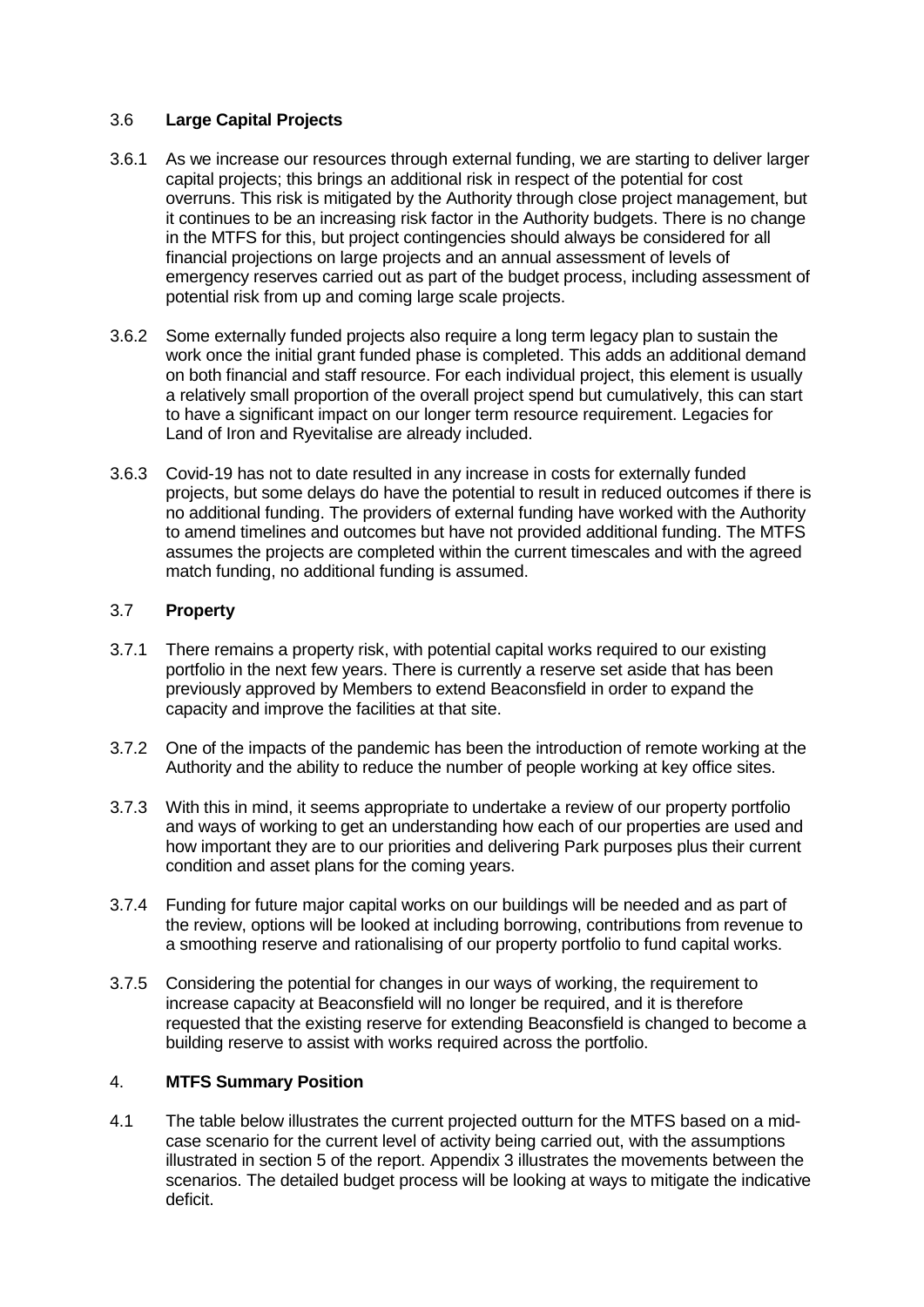# 3.6 **Large Capital Projects**

- 3.6.1 As we increase our resources through external funding, we are starting to deliver larger capital projects; this brings an additional risk in respect of the potential for cost overruns. This risk is mitigated by the Authority through close project management, but it continues to be an increasing risk factor in the Authority budgets. There is no change in the MTFS for this, but project contingencies should always be considered for all financial projections on large projects and an annual assessment of levels of emergency reserves carried out as part of the budget process, including assessment of potential risk from up and coming large scale projects.
- 3.6.2 Some externally funded projects also require a long term legacy plan to sustain the work once the initial grant funded phase is completed. This adds an additional demand on both financial and staff resource. For each individual project, this element is usually a relatively small proportion of the overall project spend but cumulatively, this can start to have a significant impact on our longer term resource requirement. Legacies for Land of Iron and Ryevitalise are already included.
- 3.6.3 Covid-19 has not to date resulted in any increase in costs for externally funded projects, but some delays do have the potential to result in reduced outcomes if there is no additional funding. The providers of external funding have worked with the Authority to amend timelines and outcomes but have not provided additional funding. The MTFS assumes the projects are completed within the current timescales and with the agreed match funding, no additional funding is assumed.

# 3.7 **Property**

- 3.7.1 There remains a property risk, with potential capital works required to our existing portfolio in the next few years. There is currently a reserve set aside that has been previously approved by Members to extend Beaconsfield in order to expand the capacity and improve the facilities at that site.
- 3.7.2 One of the impacts of the pandemic has been the introduction of remote working at the Authority and the ability to reduce the number of people working at key office sites.
- 3.7.3 With this in mind, it seems appropriate to undertake a review of our property portfolio and ways of working to get an understanding how each of our properties are used and how important they are to our priorities and delivering Park purposes plus their current condition and asset plans for the coming years.
- 3.7.4 Funding for future major capital works on our buildings will be needed and as part of the review, options will be looked at including borrowing, contributions from revenue to a smoothing reserve and rationalising of our property portfolio to fund capital works.
- 3.7.5 Considering the potential for changes in our ways of working, the requirement to increase capacity at Beaconsfield will no longer be required, and it is therefore requested that the existing reserve for extending Beaconsfield is changed to become a building reserve to assist with works required across the portfolio.

## 4. **MTFS Summary Position**

4.1 The table below illustrates the current projected outturn for the MTFS based on a midcase scenario for the current level of activity being carried out, with the assumptions illustrated in section 5 of the report. Appendix 3 illustrates the movements between the scenarios. The detailed budget process will be looking at ways to mitigate the indicative deficit.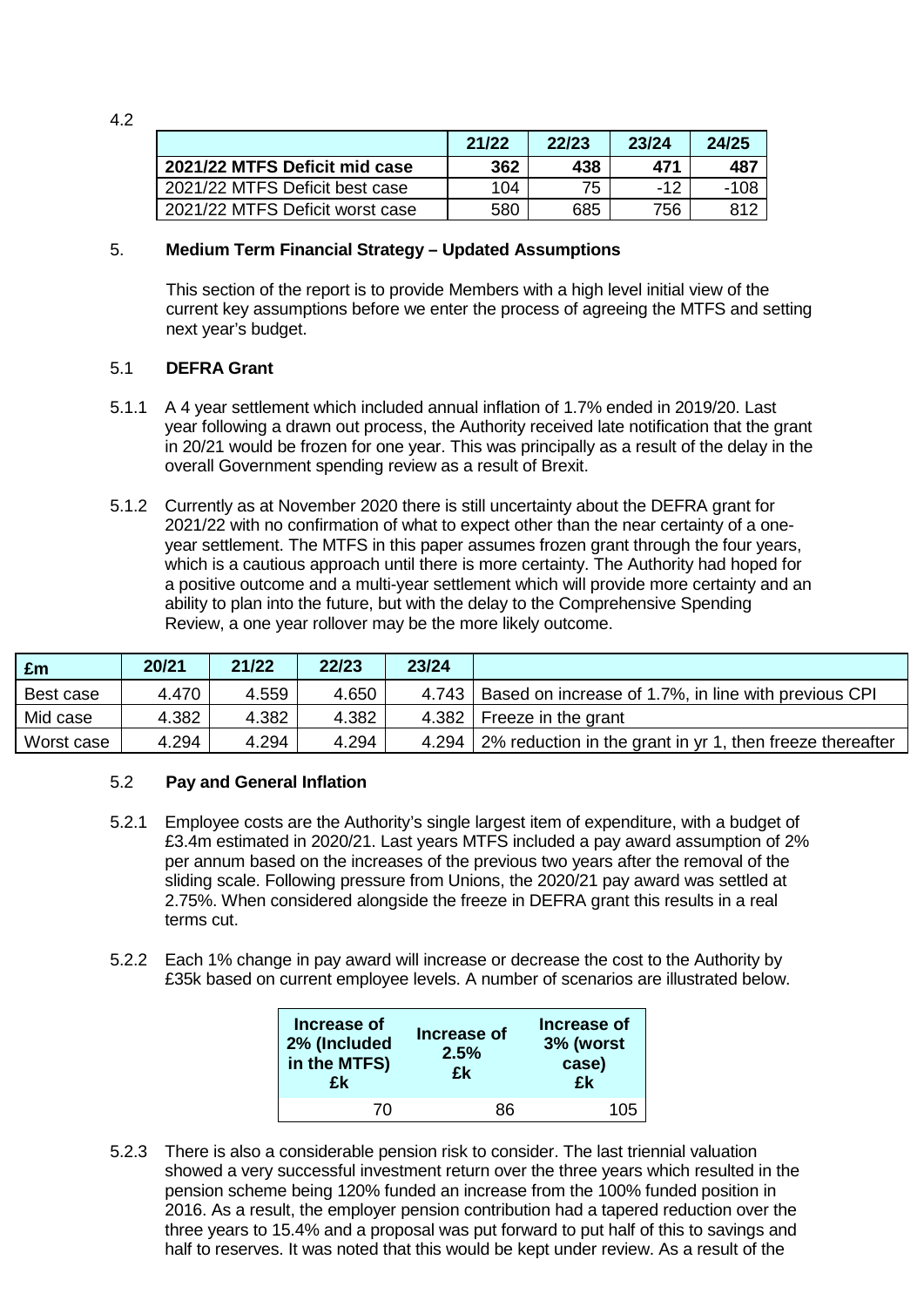|                                 | 21/22 | 22/23 | 23/24 | 24/25 |
|---------------------------------|-------|-------|-------|-------|
| 2021/22 MTFS Deficit mid case   | 362   | 438   | 471   | 487   |
| 2021/22 MTFS Deficit best case  | 104   | 75    | $-12$ | -108  |
| 2021/22 MTFS Deficit worst case | 580   | 685   | 756   | 812.  |

## 5. **Medium Term Financial Strategy – Updated Assumptions**

This section of the report is to provide Members with a high level initial view of the current key assumptions before we enter the process of agreeing the MTFS and setting next year's budget.

#### 5.1 **DEFRA Grant**

4.2

- 5.1.1 A 4 year settlement which included annual inflation of 1.7% ended in 2019/20. Last year following a drawn out process, the Authority received late notification that the grant in 20/21 would be frozen for one year. This was principally as a result of the delay in the overall Government spending review as a result of Brexit.
- 5.1.2 Currently as at November 2020 there is still uncertainty about the DEFRA grant for 2021/22 with no confirmation of what to expect other than the near certainty of a oneyear settlement. The MTFS in this paper assumes frozen grant through the four years, which is a cautious approach until there is more certainty. The Authority had hoped for a positive outcome and a multi-year settlement which will provide more certainty and an ability to plan into the future, but with the delay to the Comprehensive Spending Review, a one year rollover may be the more likely outcome.

| £m         | 20/21 | 21/22 | 22/23 | 23/24 |                                                           |
|------------|-------|-------|-------|-------|-----------------------------------------------------------|
| Best case  | 4.470 | 4.559 | 4.650 | 4.743 | Based on increase of 1.7%, in line with previous CPI      |
| Mid case   | 4.382 | 4.382 | 4.382 | 4.382 | Freeze in the grant                                       |
| Worst case | 4.294 | 4.294 | 4.294 | 4.294 | 2% reduction in the grant in yr 1, then freeze thereafter |

#### 5.2 **Pay and General Inflation**

- 5.2.1 Employee costs are the Authority's single largest item of expenditure, with a budget of £3.4m estimated in 2020/21. Last years MTFS included a pay award assumption of 2% per annum based on the increases of the previous two years after the removal of the sliding scale. Following pressure from Unions, the 2020/21 pay award was settled at 2.75%. When considered alongside the freeze in DEFRA grant this results in a real terms cut.
- 5.2.2 Each 1% change in pay award will increase or decrease the cost to the Authority by £35k based on current employee levels. A number of scenarios are illustrated below.

| Increase of<br>2% (Included<br>in the MTFS)<br>£k | <b>Increase of</b><br>2.5%<br>£k | Increase of<br>3% (worst<br>case)<br>£k |
|---------------------------------------------------|----------------------------------|-----------------------------------------|
| 70                                                | 86                               | 105                                     |

5.2.3 There is also a considerable pension risk to consider. The last triennial valuation showed a very successful investment return over the three years which resulted in the pension scheme being 120% funded an increase from the 100% funded position in 2016. As a result, the employer pension contribution had a tapered reduction over the three years to 15.4% and a proposal was put forward to put half of this to savings and half to reserves. It was noted that this would be kept under review. As a result of the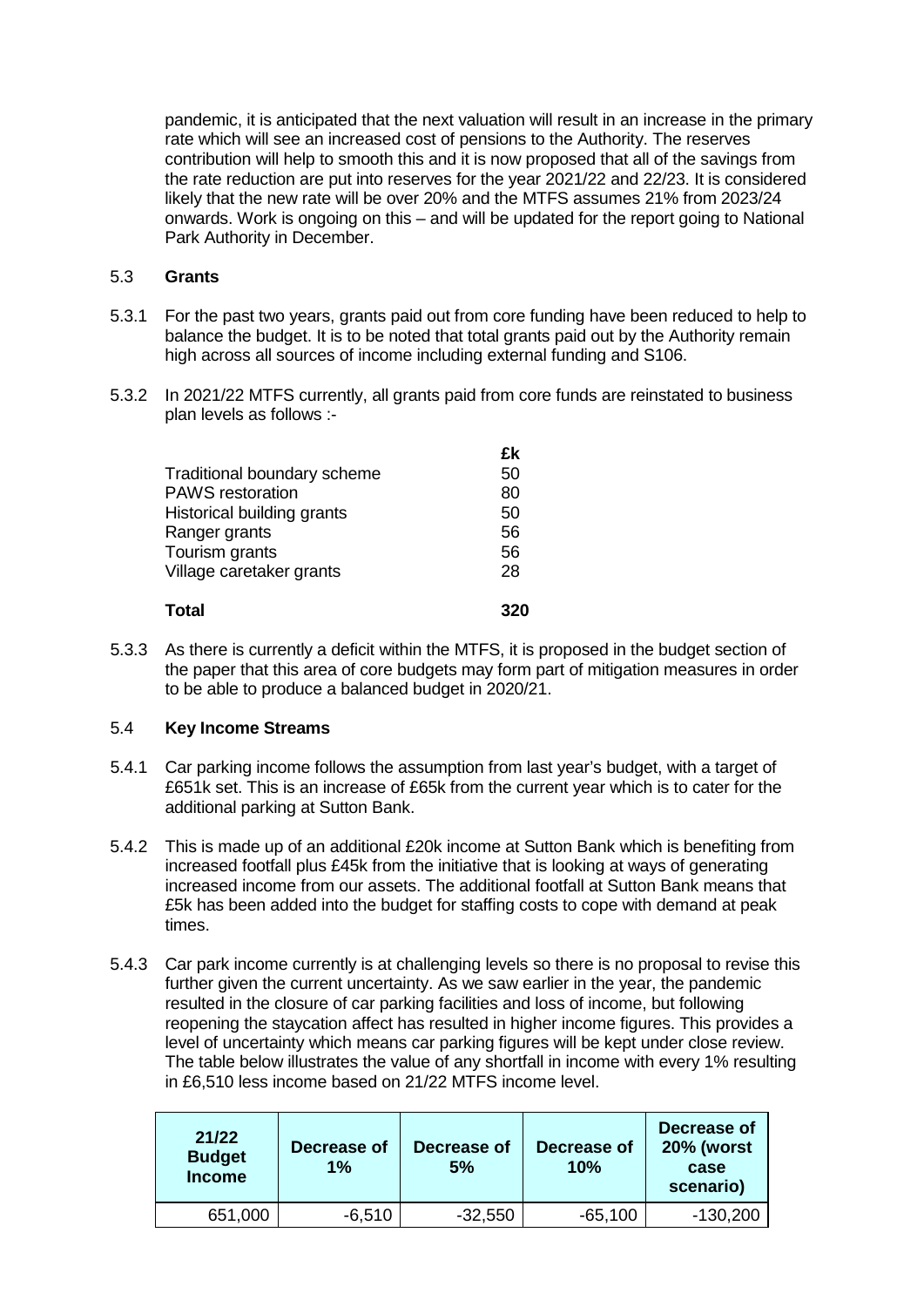pandemic, it is anticipated that the next valuation will result in an increase in the primary rate which will see an increased cost of pensions to the Authority. The reserves contribution will help to smooth this and it is now proposed that all of the savings from the rate reduction are put into reserves for the year 2021/22 and 22/23. It is considered likely that the new rate will be over 20% and the MTFS assumes 21% from 2023/24 onwards. Work is ongoing on this – and will be updated for the report going to National Park Authority in December.

#### 5.3 **Grants**

- 5.3.1 For the past two years, grants paid out from core funding have been reduced to help to balance the budget. It is to be noted that total grants paid out by the Authority remain high across all sources of income including external funding and S106.
- 5.3.2 In 2021/22 MTFS currently, all grants paid from core funds are reinstated to business plan levels as follows :-

|                             | £k  |
|-----------------------------|-----|
| Traditional boundary scheme | 50  |
| <b>PAWS</b> restoration     | 80  |
| Historical building grants  | 50  |
| Ranger grants               | 56  |
| Tourism grants              | 56  |
| Village caretaker grants    | 28  |
| Total                       | 320 |

5.3.3 As there is currently a deficit within the MTFS, it is proposed in the budget section of the paper that this area of core budgets may form part of mitigation measures in order to be able to produce a balanced budget in 2020/21.

#### 5.4 **Key Income Streams**

- 5.4.1 Car parking income follows the assumption from last year's budget, with a target of £651k set. This is an increase of £65k from the current year which is to cater for the additional parking at Sutton Bank.
- 5.4.2 This is made up of an additional £20k income at Sutton Bank which is benefiting from increased footfall plus £45k from the initiative that is looking at ways of generating increased income from our assets. The additional footfall at Sutton Bank means that £5k has been added into the budget for staffing costs to cope with demand at peak times.
- 5.4.3 Car park income currently is at challenging levels so there is no proposal to revise this further given the current uncertainty. As we saw earlier in the year, the pandemic resulted in the closure of car parking facilities and loss of income, but following reopening the staycation affect has resulted in higher income figures. This provides a level of uncertainty which means car parking figures will be kept under close review. The table below illustrates the value of any shortfall in income with every 1% resulting in £6,510 less income based on 21/22 MTFS income level.

| 21/22<br><b>Budget</b><br><b>Income</b> | Decrease of<br>1% | Decrease of<br>5% | Decrease of<br>10% | Decrease of<br><b>20% (worst</b><br>case<br>scenario) |
|-----------------------------------------|-------------------|-------------------|--------------------|-------------------------------------------------------|
| 651,000                                 | $-6,510$          | $-32,550$         | $-65,100$          | $-130,200$                                            |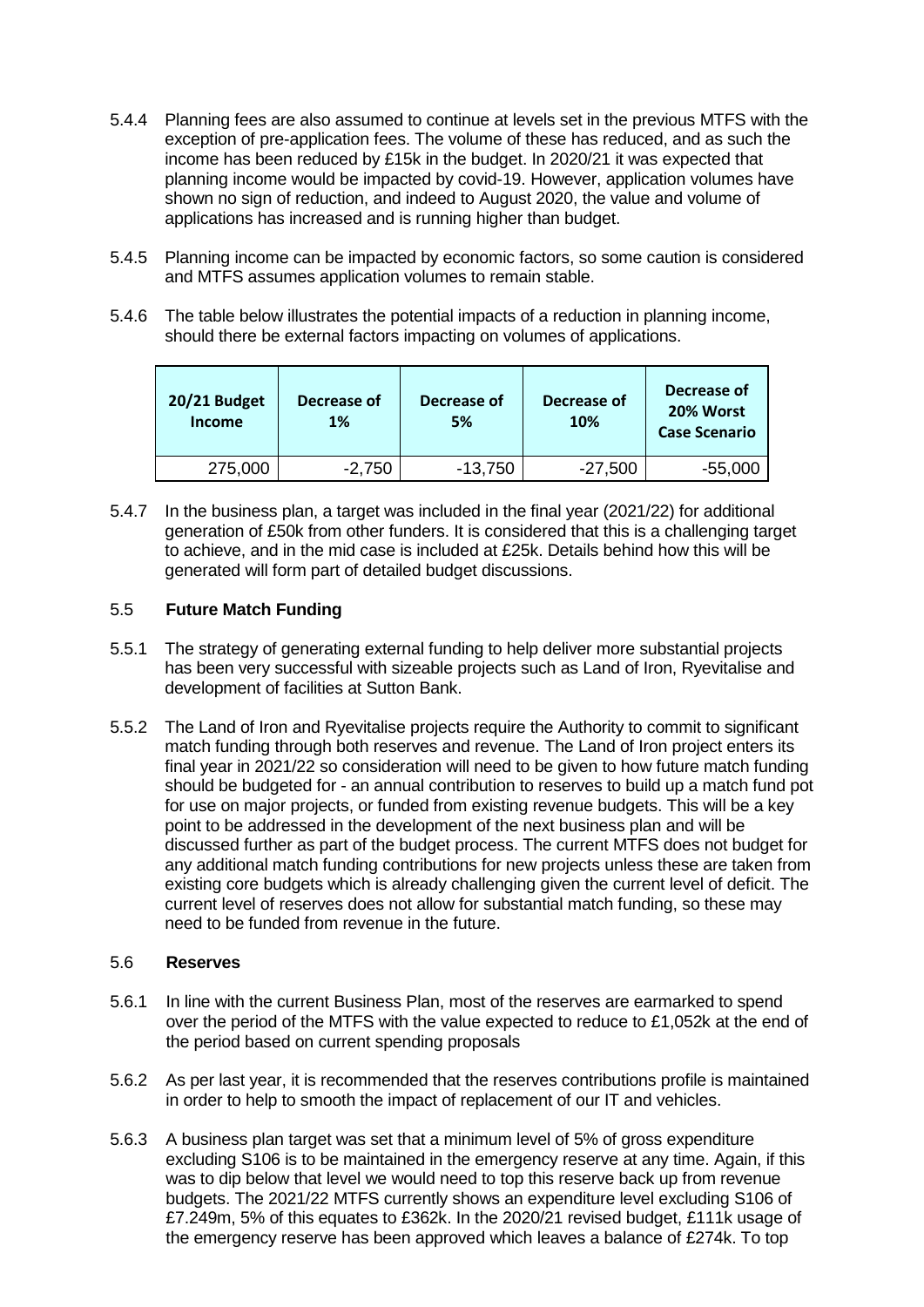- 5.4.4 Planning fees are also assumed to continue at levels set in the previous MTFS with the exception of pre-application fees. The volume of these has reduced, and as such the income has been reduced by £15k in the budget. In 2020/21 it was expected that planning income would be impacted by covid-19. However, application volumes have shown no sign of reduction, and indeed to August 2020, the value and volume of applications has increased and is running higher than budget.
- 5.4.5 Planning income can be impacted by economic factors, so some caution is considered and MTFS assumes application volumes to remain stable.
- 5.4.6 The table below illustrates the potential impacts of a reduction in planning income, should there be external factors impacting on volumes of applications.

| 20/21 Budget<br><b>Income</b> | Decrease of<br>1% | Decrease of<br>5% | Decrease of<br>10% | Decrease of<br>20% Worst<br><b>Case Scenario</b> |
|-------------------------------|-------------------|-------------------|--------------------|--------------------------------------------------|
| 275,000                       | $-2,750$          | $-13,750$         | $-27,500$          | $-55,000$                                        |

5.4.7 In the business plan, a target was included in the final year (2021/22) for additional generation of £50k from other funders. It is considered that this is a challenging target to achieve, and in the mid case is included at £25k. Details behind how this will be generated will form part of detailed budget discussions.

# 5.5 **Future Match Funding**

- 5.5.1 The strategy of generating external funding to help deliver more substantial projects has been very successful with sizeable projects such as Land of Iron, Ryevitalise and development of facilities at Sutton Bank.
- 5.5.2 The Land of Iron and Ryevitalise projects require the Authority to commit to significant match funding through both reserves and revenue. The Land of Iron project enters its final year in 2021/22 so consideration will need to be given to how future match funding should be budgeted for - an annual contribution to reserves to build up a match fund pot for use on major projects, or funded from existing revenue budgets. This will be a key point to be addressed in the development of the next business plan and will be discussed further as part of the budget process. The current MTFS does not budget for any additional match funding contributions for new projects unless these are taken from existing core budgets which is already challenging given the current level of deficit. The current level of reserves does not allow for substantial match funding, so these may need to be funded from revenue in the future.

## 5.6 **Reserves**

- 5.6.1 In line with the current Business Plan, most of the reserves are earmarked to spend over the period of the MTFS with the value expected to reduce to £1,052k at the end of the period based on current spending proposals
- 5.6.2 As per last year, it is recommended that the reserves contributions profile is maintained in order to help to smooth the impact of replacement of our IT and vehicles.
- 5.6.3 A business plan target was set that a minimum level of 5% of gross expenditure excluding S106 is to be maintained in the emergency reserve at any time. Again, if this was to dip below that level we would need to top this reserve back up from revenue budgets. The 2021/22 MTFS currently shows an expenditure level excluding S106 of £7.249m, 5% of this equates to £362k. In the 2020/21 revised budget, £111k usage of the emergency reserve has been approved which leaves a balance of £274k. To top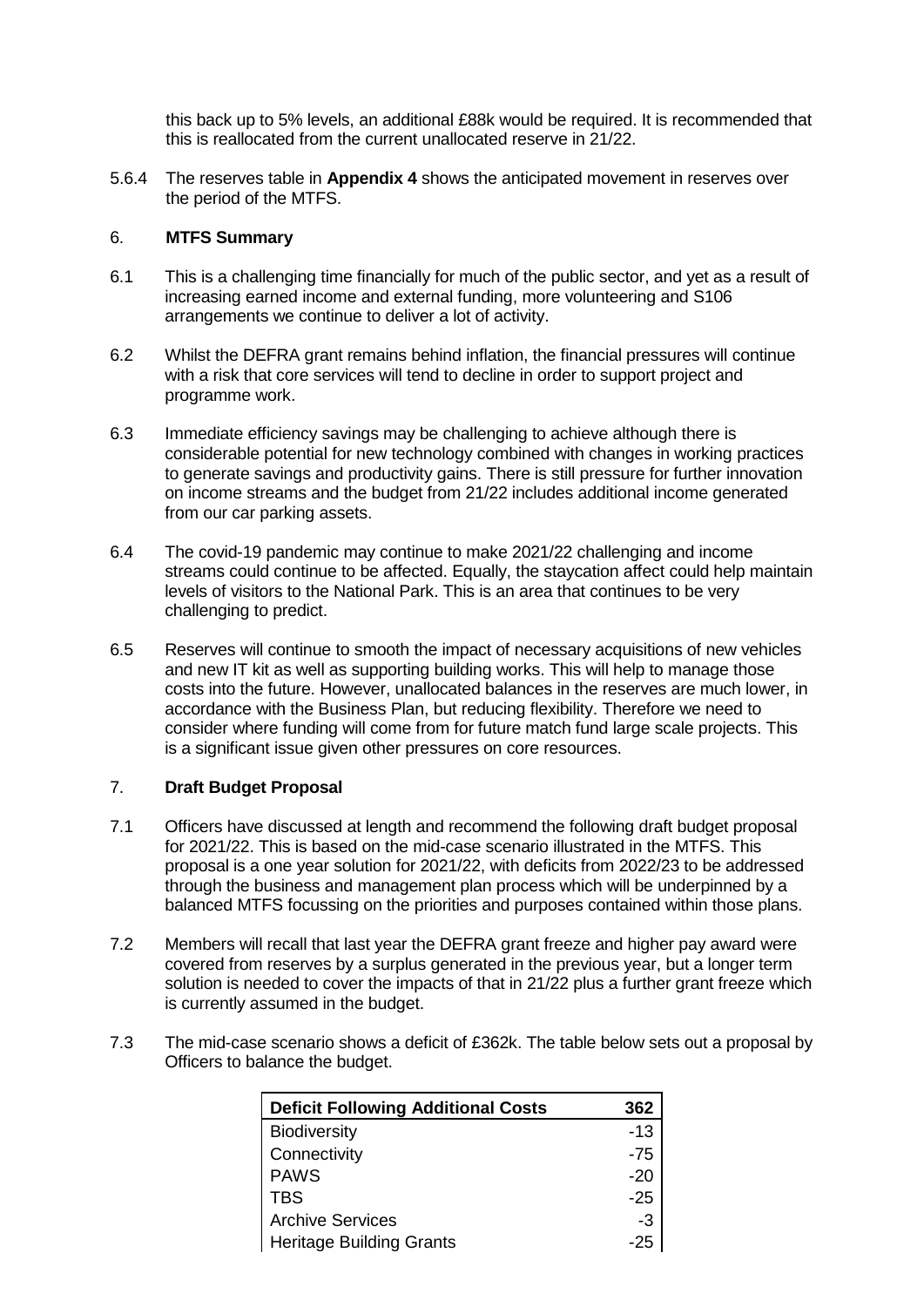this back up to 5% levels, an additional £88k would be required. It is recommended that this is reallocated from the current unallocated reserve in 21/22.

5.6.4 The reserves table in **Appendix 4** shows the anticipated movement in reserves over the period of the MTFS.

#### 6. **MTFS Summary**

- 6.1 This is a challenging time financially for much of the public sector, and yet as a result of increasing earned income and external funding, more volunteering and S106 arrangements we continue to deliver a lot of activity.
- 6.2 Whilst the DEFRA grant remains behind inflation, the financial pressures will continue with a risk that core services will tend to decline in order to support project and programme work.
- 6.3 Immediate efficiency savings may be challenging to achieve although there is considerable potential for new technology combined with changes in working practices to generate savings and productivity gains. There is still pressure for further innovation on income streams and the budget from 21/22 includes additional income generated from our car parking assets.
- 6.4 The covid-19 pandemic may continue to make 2021/22 challenging and income streams could continue to be affected. Equally, the staycation affect could help maintain levels of visitors to the National Park. This is an area that continues to be very challenging to predict.
- 6.5 Reserves will continue to smooth the impact of necessary acquisitions of new vehicles and new IT kit as well as supporting building works. This will help to manage those costs into the future. However, unallocated balances in the reserves are much lower, in accordance with the Business Plan, but reducing flexibility. Therefore we need to consider where funding will come from for future match fund large scale projects. This is a significant issue given other pressures on core resources.

## 7. **Draft Budget Proposal**

- 7.1 Officers have discussed at length and recommend the following draft budget proposal for 2021/22. This is based on the mid-case scenario illustrated in the MTFS. This proposal is a one year solution for 2021/22, with deficits from 2022/23 to be addressed through the business and management plan process which will be underpinned by a balanced MTFS focussing on the priorities and purposes contained within those plans.
- 7.2 Members will recall that last year the DEFRA grant freeze and higher pay award were covered from reserves by a surplus generated in the previous year, but a longer term solution is needed to cover the impacts of that in 21/22 plus a further grant freeze which is currently assumed in the budget.
- 7.3 The mid-case scenario shows a deficit of £362k. The table below sets out a proposal by Officers to balance the budget.

| <b>Deficit Following Additional Costs</b> | 362   |
|-------------------------------------------|-------|
| <b>Biodiversity</b>                       | $-13$ |
| Connectivity                              | $-75$ |
| <b>PAWS</b>                               | $-20$ |
| <b>TBS</b>                                | $-25$ |
| <b>Archive Services</b>                   | -3    |
| <b>Heritage Building Grants</b>           | -25   |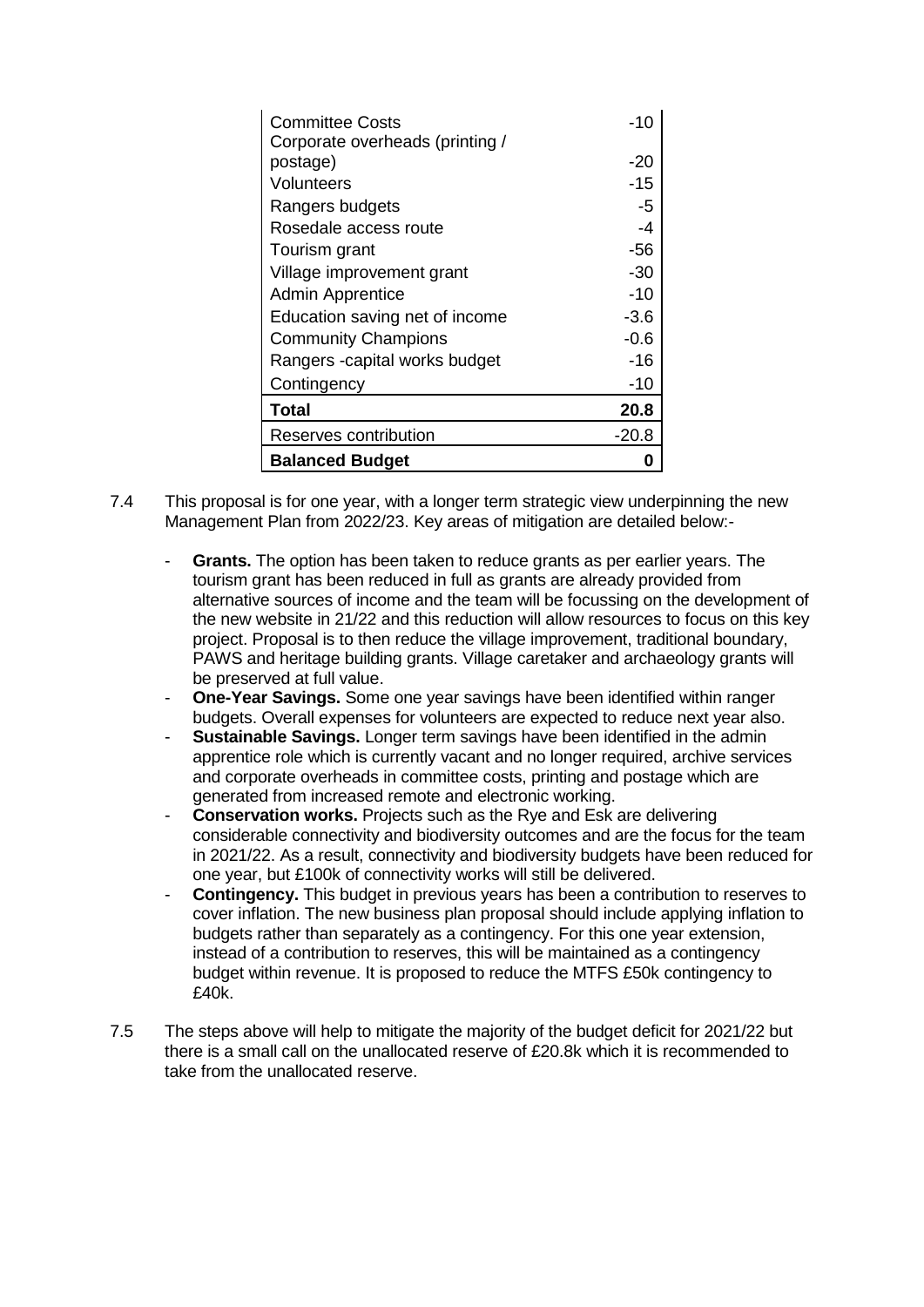| <b>Committee Costs</b><br>Corporate overheads (printing / | -10     |
|-----------------------------------------------------------|---------|
| postage)                                                  | -20     |
| Volunteers                                                | $-15$   |
| Rangers budgets                                           | -5      |
| Rosedale access route                                     | -4      |
| Tourism grant                                             | -56     |
| Village improvement grant                                 | -30     |
| <b>Admin Apprentice</b>                                   | $-10$   |
| Education saving net of income                            | $-3.6$  |
| <b>Community Champions</b>                                | $-0.6$  |
| Rangers - capital works budget                            | -16     |
| Contingency                                               | -10     |
| <b>Total</b>                                              | 20.8    |
| Reserves contribution                                     | $-20.8$ |
| <b>Balanced Budget</b>                                    |         |

- 7.4 This proposal is for one year, with a longer term strategic view underpinning the new Management Plan from 2022/23. Key areas of mitigation are detailed below:-
	- Grants. The option has been taken to reduce grants as per earlier years. The tourism grant has been reduced in full as grants are already provided from alternative sources of income and the team will be focussing on the development of the new website in 21/22 and this reduction will allow resources to focus on this key project. Proposal is to then reduce the village improvement, traditional boundary, PAWS and heritage building grants. Village caretaker and archaeology grants will be preserved at full value.
	- **One-Year Savings.** Some one year savings have been identified within ranger budgets. Overall expenses for volunteers are expected to reduce next year also.
	- **Sustainable Savings.** Longer term savings have been identified in the admin apprentice role which is currently vacant and no longer required, archive services and corporate overheads in committee costs, printing and postage which are generated from increased remote and electronic working.
	- **Conservation works.** Projects such as the Rye and Esk are delivering considerable connectivity and biodiversity outcomes and are the focus for the team in 2021/22. As a result, connectivity and biodiversity budgets have been reduced for one year, but £100k of connectivity works will still be delivered.
	- **Contingency.** This budget in previous years has been a contribution to reserves to cover inflation. The new business plan proposal should include applying inflation to budgets rather than separately as a contingency. For this one year extension, instead of a contribution to reserves, this will be maintained as a contingency budget within revenue. It is proposed to reduce the MTFS £50k contingency to £40k.
- 7.5 The steps above will help to mitigate the majority of the budget deficit for 2021/22 but there is a small call on the unallocated reserve of £20.8k which it is recommended to take from the unallocated reserve.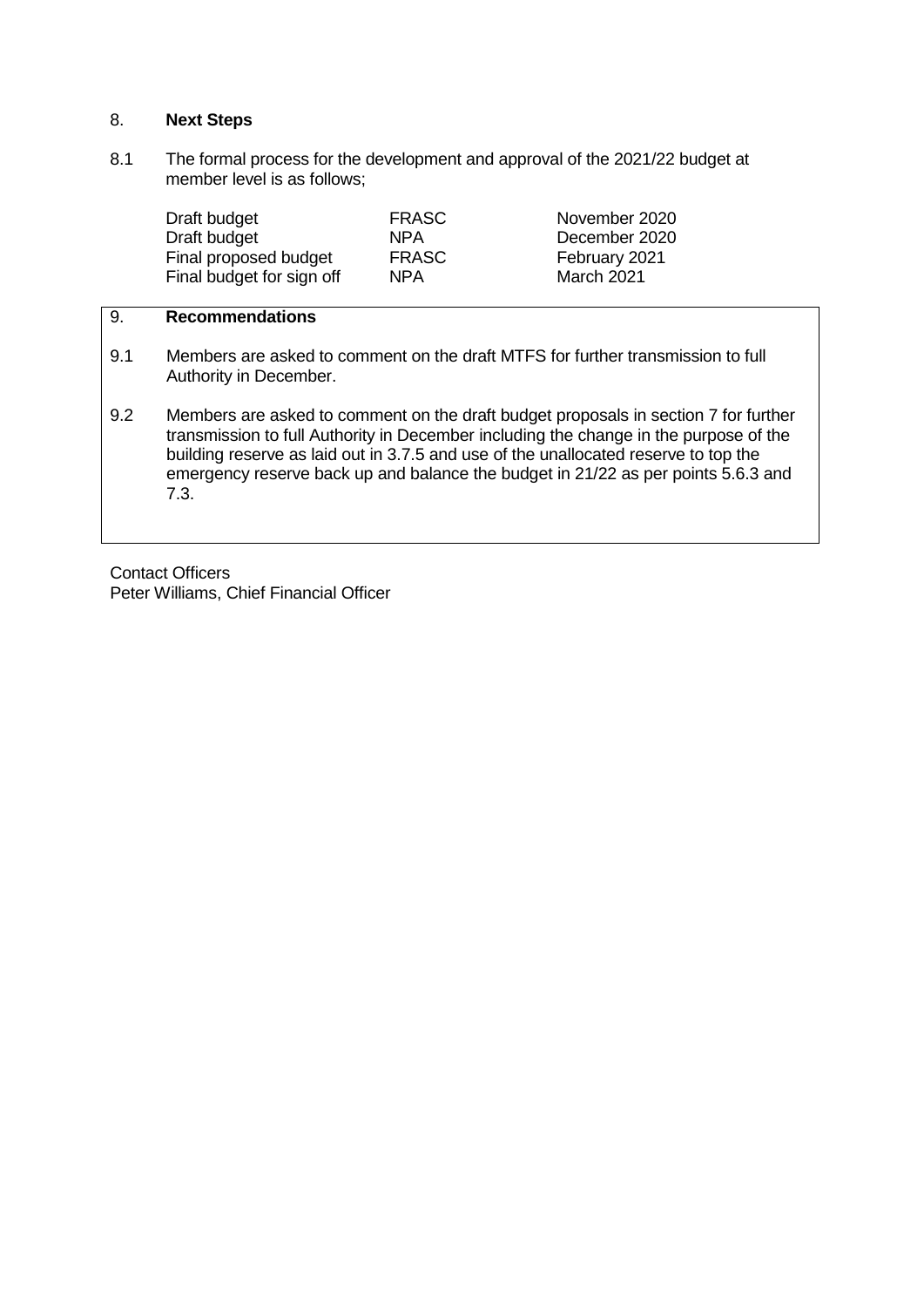## 8. **Next Steps**

8.1 The formal process for the development and approval of the 2021/22 budget at member level is as follows;

| Draft budget              | <b>FRASC</b> | November 2020 |
|---------------------------|--------------|---------------|
| Draft budget              | NPA          | December 2020 |
| Final proposed budget     | <b>FRASC</b> | February 2021 |
| Final budget for sign off | NPA          | March 2021    |

# 9. **Recommendations**

- 9.1 Members are asked to comment on the draft MTFS for further transmission to full Authority in December.
- 9.2 Members are asked to comment on the draft budget proposals in section 7 for further transmission to full Authority in December including the change in the purpose of the building reserve as laid out in 3.7.5 and use of the unallocated reserve to top the emergency reserve back up and balance the budget in 21/22 as per points 5.6.3 and 7.3.

Contact Officers Peter Williams, Chief Financial Officer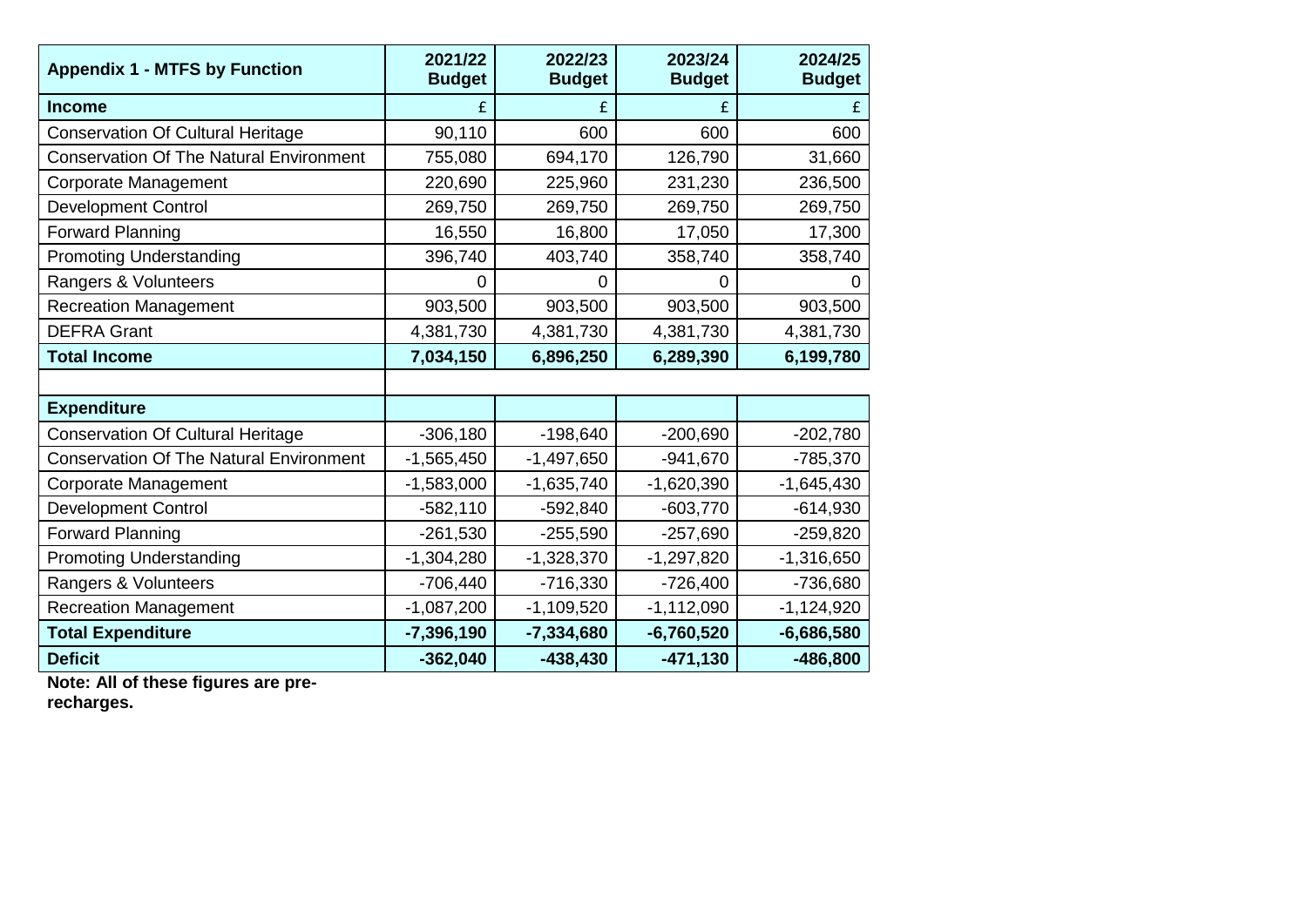| <b>Appendix 1 - MTFS by Function</b>           | 2021/22<br><b>Budget</b> | 2022/23<br><b>Budget</b> | 2023/24<br><b>Budget</b> | 2024/25<br><b>Budget</b> |
|------------------------------------------------|--------------------------|--------------------------|--------------------------|--------------------------|
| <b>Income</b>                                  |                          |                          |                          | £                        |
| <b>Conservation Of Cultural Heritage</b>       | 90,110                   | 600                      | 600                      | 600                      |
| <b>Conservation Of The Natural Environment</b> | 755,080                  | 694,170                  | 126,790                  | 31,660                   |
| <b>Corporate Management</b>                    | 220,690                  | 225,960                  | 231,230                  | 236,500                  |
| <b>Development Control</b>                     | 269,750                  | 269,750                  | 269,750                  | 269,750                  |
| <b>Forward Planning</b>                        | 16,550                   | 16,800                   | 17,050                   | 17,300                   |
| <b>Promoting Understanding</b>                 | 396,740                  | 403,740                  | 358,740                  | 358,740                  |
| Rangers & Volunteers                           | 0                        | $\Omega$                 | 0                        | 0                        |
| <b>Recreation Management</b>                   | 903,500                  | 903,500                  | 903,500                  | 903,500                  |
| <b>DEFRA Grant</b>                             | 4,381,730                | 4,381,730                | 4,381,730                | 4,381,730                |
| <b>Total Income</b>                            | 7,034,150                | 6,896,250                | 6,289,390                | 6,199,780                |
|                                                |                          |                          |                          |                          |
| <b>Expenditure</b>                             |                          |                          |                          |                          |
| <b>Conservation Of Cultural Heritage</b>       | $-306,180$               | $-198,640$               | $-200,690$               | $-202,780$               |
| <b>Conservation Of The Natural Environment</b> | $-1,565,450$             | $-1,497,650$             | $-941,670$               | $-785,370$               |
| <b>Corporate Management</b>                    | $-1,583,000$             | $-1,635,740$             | $-1,620,390$             | $-1,645,430$             |
| <b>Development Control</b>                     | $-582,110$               | $-592,840$               | $-603,770$               | $-614,930$               |
| <b>Forward Planning</b>                        | $-261,530$               | $-255,590$               | $-257,690$               | $-259,820$               |
| <b>Promoting Understanding</b>                 | $-1,304,280$             | $-1,328,370$             | $-1,297,820$             | $-1,316,650$             |
| Rangers & Volunteers                           | $-706,440$               | $-716,330$               | $-726,400$               | -736,680                 |
| <b>Recreation Management</b>                   | $-1,087,200$             | $-1,109,520$             | $-1,112,090$             | $-1,124,920$             |
| <b>Total Expenditure</b>                       | $-7,396,190$             | $-7,334,680$             | $-6,760,520$             | $-6,686,580$             |
| <b>Deficit</b>                                 | $-362,040$               | $-438,430$               | $-471,130$               | $-486,800$               |

**Note: All of these figures are pre-**

**recharges.**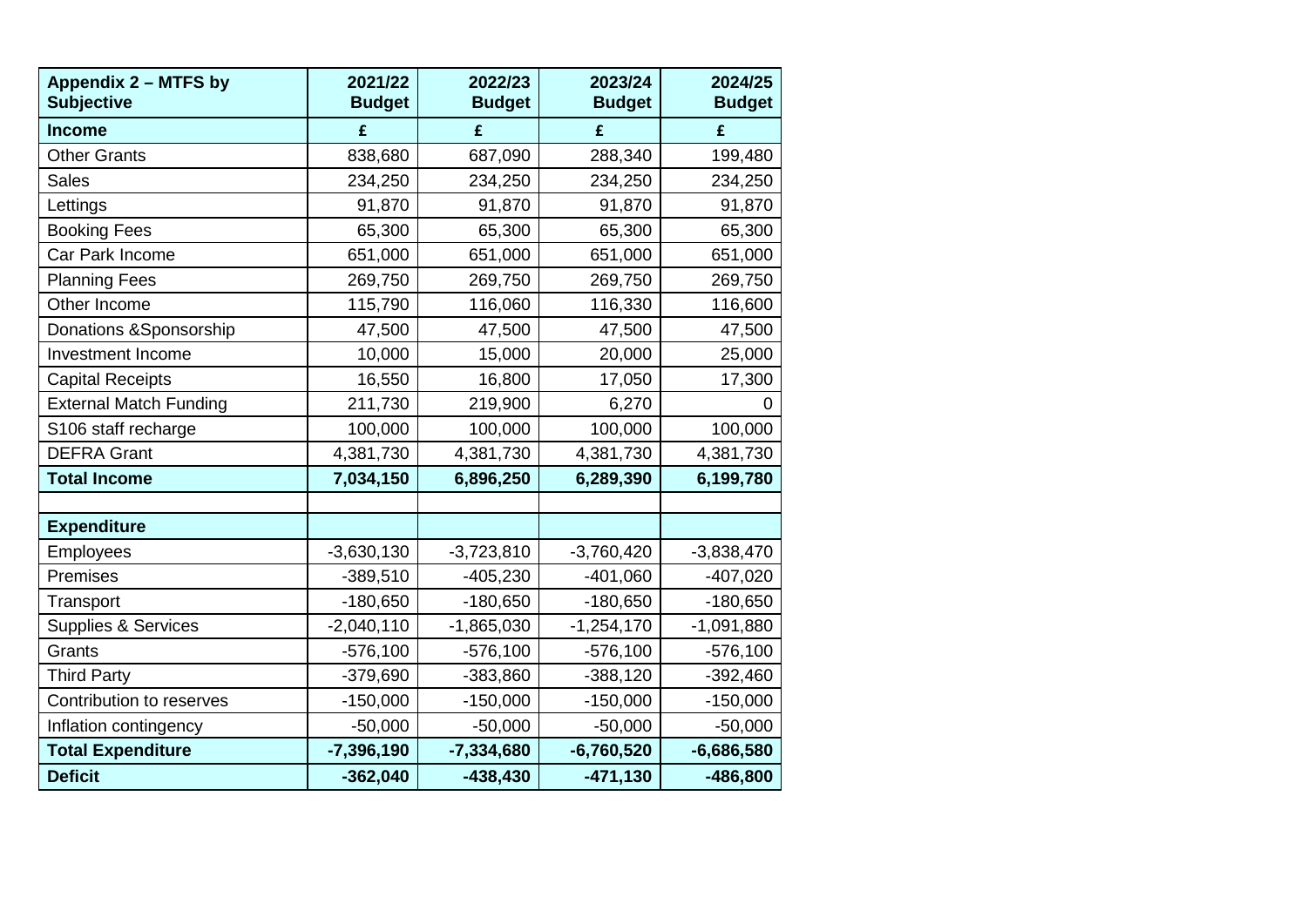| Appendix 2 - MTFS by<br><b>Subjective</b> | 2021/22<br><b>Budget</b> | 2022/23<br><b>Budget</b> | 2023/24<br><b>Budget</b> | 2024/25<br><b>Budget</b> |
|-------------------------------------------|--------------------------|--------------------------|--------------------------|--------------------------|
| <b>Income</b>                             | £                        | £                        | £                        | £                        |
| <b>Other Grants</b>                       | 838,680                  | 687,090                  | 288,340                  | 199,480                  |
| <b>Sales</b>                              | 234,250                  | 234,250                  | 234,250                  | 234,250                  |
| Lettings                                  | 91,870                   | 91,870                   | 91,870                   | 91,870                   |
| <b>Booking Fees</b>                       | 65,300                   | 65,300                   | 65,300                   | 65,300                   |
| Car Park Income                           | 651,000                  | 651,000                  | 651,000                  | 651,000                  |
| <b>Planning Fees</b>                      | 269,750                  | 269,750                  | 269,750                  | 269,750                  |
| Other Income                              | 115,790                  | 116,060                  | 116,330                  | 116,600                  |
| Donations & Sponsorship                   | 47,500                   | 47,500                   | 47,500                   | 47,500                   |
| Investment Income                         | 10,000                   | 15,000                   | 20,000                   | 25,000                   |
| <b>Capital Receipts</b>                   | 16,550                   | 16,800                   | 17,050                   | 17,300                   |
| <b>External Match Funding</b>             | 211,730                  | 219,900                  | 6,270                    | U                        |
| S106 staff recharge                       | 100,000                  | 100,000                  | 100,000                  | 100,000                  |
| <b>DEFRA Grant</b>                        | 4,381,730                | 4,381,730                | 4,381,730                | 4,381,730                |
| <b>Total Income</b>                       | 7,034,150                | 6,896,250                | 6,289,390                | 6,199,780                |
|                                           |                          |                          |                          |                          |
| <b>Expenditure</b>                        |                          |                          |                          |                          |
| <b>Employees</b>                          | $-3,630,130$             | $-3,723,810$             | $-3,760,420$             | $-3,838,470$             |
| Premises                                  | $-389,510$               | $-405,230$               | $-401,060$               | $-407,020$               |
| Transport                                 | $-180,650$               | $-180,650$               | $-180,650$               | $-180,650$               |
| <b>Supplies &amp; Services</b>            | $-2,040,110$             | $-1,865,030$             | $-1,254,170$             | $-1,091,880$             |
| Grants                                    | $-576,100$               | $-576,100$               | $-576,100$               | $-576,100$               |
| <b>Third Party</b>                        | $-379,690$               | $-383,860$               | $-388,120$               | $-392,460$               |
| Contribution to reserves                  | $-150,000$               | $-150,000$               | $-150,000$               | $-150,000$               |
| Inflation contingency                     | $-50,000$                | $-50,000$                | $-50,000$                | $-50,000$                |
| <b>Total Expenditure</b>                  | $-7,396,190$             | $-7,334,680$             | $-6,760,520$             | $-6,686,580$             |
| <b>Deficit</b>                            | $-362,040$               | $-438,430$               | $-471,130$               | $-486,800$               |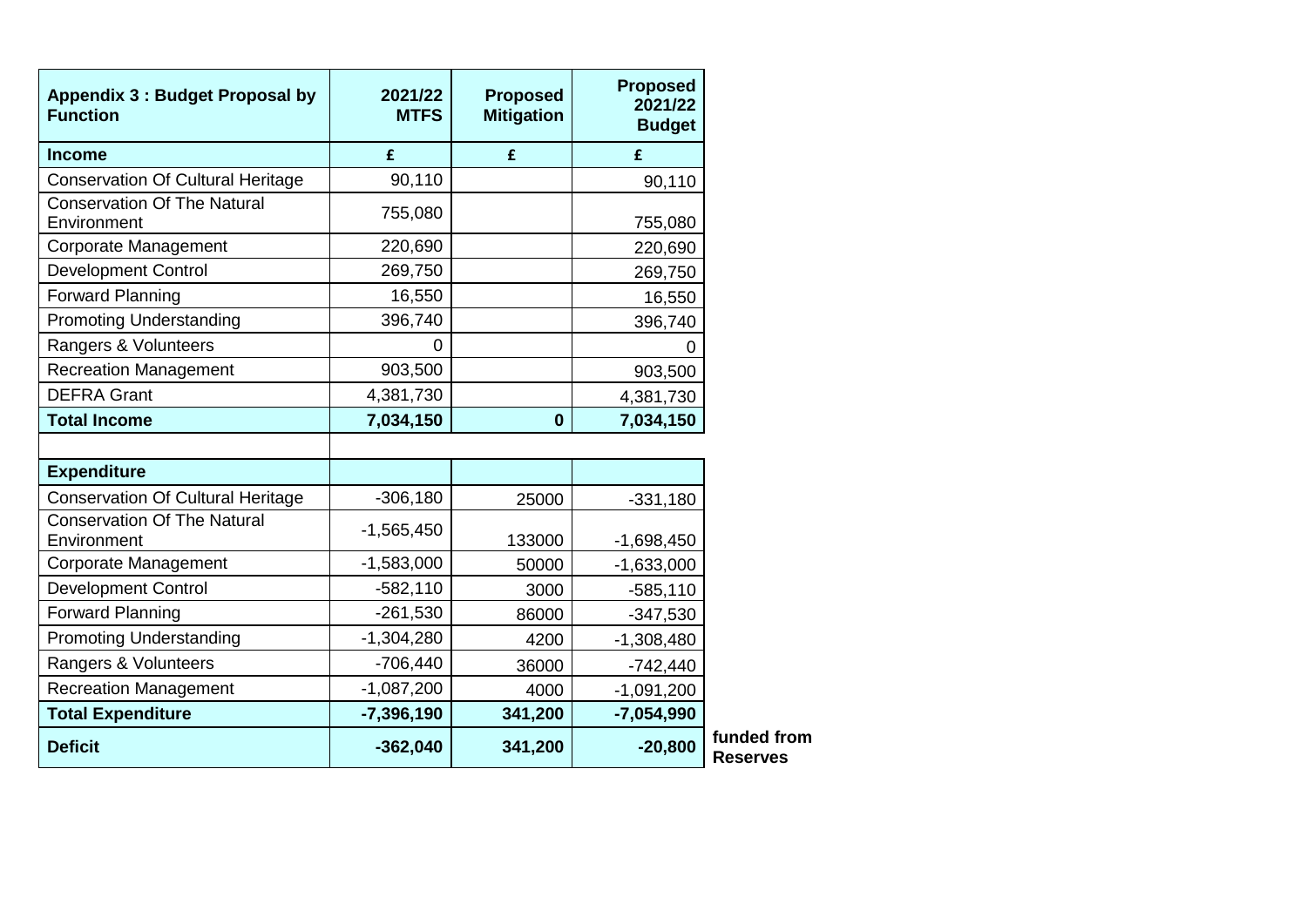| <b>Appendix 3: Budget Proposal by</b><br><b>Function</b> | 2021/22<br><b>MTFS</b> | <b>Proposed</b><br><b>Mitigation</b> | <b>Proposed</b><br>2021/22<br><b>Budget</b> |
|----------------------------------------------------------|------------------------|--------------------------------------|---------------------------------------------|
| <b>Income</b>                                            | £                      | £                                    | £                                           |
| <b>Conservation Of Cultural Heritage</b>                 | 90,110                 |                                      | 90,110                                      |
| <b>Conservation Of The Natural</b><br>Environment        | 755,080                |                                      | 755,080                                     |
| <b>Corporate Management</b>                              | 220,690                |                                      | 220,690                                     |
| <b>Development Control</b>                               | 269,750                |                                      | 269,750                                     |
| <b>Forward Planning</b>                                  | 16,550                 |                                      | 16,550                                      |
| <b>Promoting Understanding</b>                           | 396,740                |                                      | 396,740                                     |
| Rangers & Volunteers                                     | 0                      |                                      | 0                                           |
| <b>Recreation Management</b>                             | 903,500                |                                      | 903,500                                     |
| <b>DEFRA Grant</b>                                       | 4,381,730              |                                      | 4,381,730                                   |
| <b>Total Income</b>                                      | 7,034,150              | $\mathbf 0$                          | 7,034,150                                   |
|                                                          |                        |                                      |                                             |
| <b>Expenditure</b>                                       |                        |                                      |                                             |
| <b>Conservation Of Cultural Heritage</b>                 | $-306,180$             | 25000                                | $-331,180$                                  |
| Conservation Of The Natural<br>Environment               | $-1,565,450$           | 133000                               | $-1,698,450$                                |
| <b>Corporate Management</b>                              | $-1,583,000$           | 50000                                | $-1,633,000$                                |
| <b>Development Control</b>                               | $-582,110$             | 3000                                 | $-585,110$                                  |
| <b>Forward Planning</b>                                  | $-261,530$             | 86000                                | $-347,530$                                  |
| <b>Promoting Understanding</b>                           | $-1,304,280$           | 4200                                 | $-1,308,480$                                |
| Rangers & Volunteers                                     | $-706,440$             | 36000                                | $-742,440$                                  |
| <b>Recreation Management</b>                             | $-1,087,200$           | 4000                                 | $-1,091,200$                                |
| <b>Total Expenditure</b>                                 | $-7,396,190$           | 341,200                              | $-7,054,990$                                |
| <b>Deficit</b>                                           | $-362,040$             | 341,200                              | $-20,800$                                   |